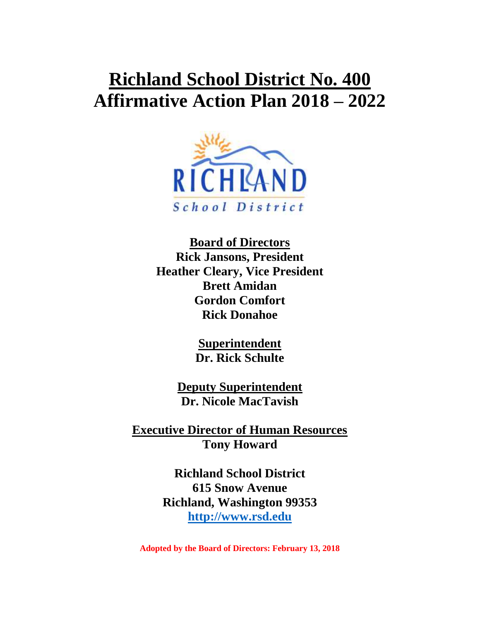# **Richland School District No. 400 Affirmative Action Plan 2018 – 2022**



**Board of Directors Rick Jansons, President Heather Cleary, Vice President Brett Amidan Gordon Comfort Rick Donahoe**

> **Superintendent Dr. Rick Schulte**

**Deputy Superintendent Dr. Nicole MacTavish**

**Executive Director of Human Resources Tony Howard**

> **Richland School District 615 Snow Avenue Richland, Washington 99353 [http://www.rsd.edu](http://www.rsd.edu/)**

**Adopted by the Board of Directors: February 13, 2018**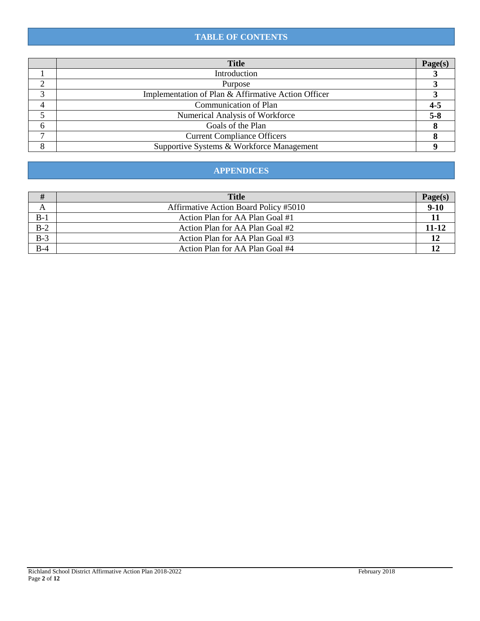# **TABLE OF CONTENTS**

|   | <b>Title</b>                                        | <b>Page</b> (s |
|---|-----------------------------------------------------|----------------|
|   | Introduction                                        |                |
|   | Purpose                                             |                |
|   | Implementation of Plan & Affirmative Action Officer |                |
|   | Communication of Plan                               |                |
|   | Numerical Analysis of Workforce                     | 5-8            |
| 6 | Goals of the Plan                                   |                |
|   | <b>Current Compliance Officers</b>                  |                |
|   | Supportive Systems & Workforce Management           |                |

## **APPENDICES**

| #                                       | <b>Title</b>                          |          |
|-----------------------------------------|---------------------------------------|----------|
| A                                       | Affirmative Action Board Policy #5010 | $9 - 10$ |
|                                         | Action Plan for AA Plan Goal #1       |          |
|                                         | Action Plan for AA Plan Goal #2       | 11-12    |
| $\frac{\overline{B-1}}{\overline{B-2}}$ | Action Plan for AA Plan Goal #3       |          |
| $B-4$                                   | Action Plan for AA Plan Goal #4       |          |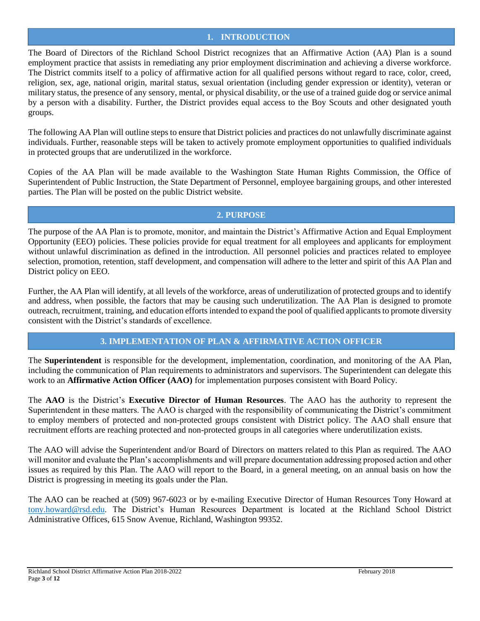## **1. INTRODUCTION**

The Board of Directors of the Richland School District recognizes that an Affirmative Action (AA) Plan is a sound employment practice that assists in remediating any prior employment discrimination and achieving a diverse workforce. The District commits itself to a policy of affirmative action for all qualified persons without regard to race, color, creed, religion, sex, age, national origin, marital status, sexual orientation (including gender expression or identity), veteran or military status, the presence of any sensory, mental, or physical disability, or the use of a trained guide dog or service animal by a person with a disability. Further, the District provides equal access to the Boy Scouts and other designated youth groups.

The following AA Plan will outline steps to ensure that District policies and practices do not unlawfully discriminate against individuals. Further, reasonable steps will be taken to actively promote employment opportunities to qualified individuals in protected groups that are underutilized in the workforce.

Copies of the AA Plan will be made available to the Washington State Human Rights Commission, the Office of Superintendent of Public Instruction, the State Department of Personnel, employee bargaining groups, and other interested parties. The Plan will be posted on the public District website.

## **2. PURPOSE**

The purpose of the AA Plan is to promote, monitor, and maintain the District's Affirmative Action and Equal Employment Opportunity (EEO) policies. These policies provide for equal treatment for all employees and applicants for employment without unlawful discrimination as defined in the introduction. All personnel policies and practices related to employee selection, promotion, retention, staff development, and compensation will adhere to the letter and spirit of this AA Plan and District policy on EEO.

Further, the AA Plan will identify, at all levels of the workforce, areas of underutilization of protected groups and to identify and address, when possible, the factors that may be causing such underutilization. The AA Plan is designed to promote outreach, recruitment, training, and education efforts intended to expand the pool of qualified applicants to promote diversity consistent with the District's standards of excellence.

## **3. IMPLEMENTATION OF PLAN & AFFIRMATIVE ACTION OFFICER**

The **Superintendent** is responsible for the development, implementation, coordination, and monitoring of the AA Plan, including the communication of Plan requirements to administrators and supervisors. The Superintendent can delegate this work to an **Affirmative Action Officer (AAO)** for implementation purposes consistent with Board Policy.

The **AAO** is the District's **Executive Director of Human Resources**. The AAO has the authority to represent the Superintendent in these matters. The AAO is charged with the responsibility of communicating the District's commitment to employ members of protected and non-protected groups consistent with District policy. The AAO shall ensure that recruitment efforts are reaching protected and non-protected groups in all categories where underutilization exists.

The AAO will advise the Superintendent and/or Board of Directors on matters related to this Plan as required. The AAO will monitor and evaluate the Plan's accomplishments and will prepare documentation addressing proposed action and other issues as required by this Plan. The AAO will report to the Board, in a general meeting, on an annual basis on how the District is progressing in meeting its goals under the Plan.

The AAO can be reached at (509) 967-6023 or by e-mailing Executive Director of Human Resources Tony Howard at [tony.howard@rsd.edu.](mailto:tony.howard@rsd.edu) The District's Human Resources Department is located at the Richland School District Administrative Offices, 615 Snow Avenue, Richland, Washington 99352.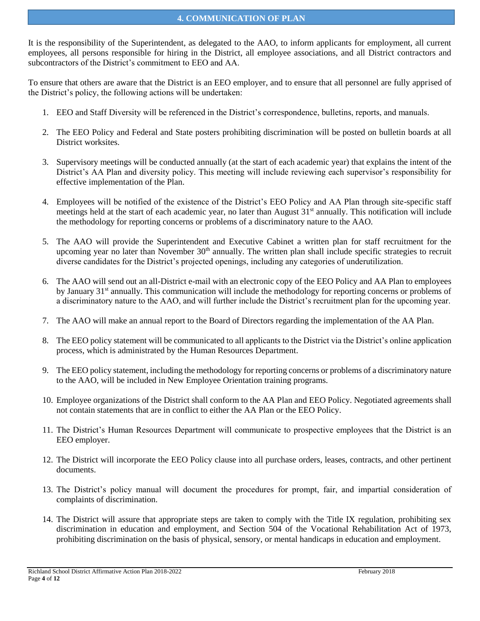It is the responsibility of the Superintendent, as delegated to the AAO, to inform applicants for employment, all current employees, all persons responsible for hiring in the District, all employee associations, and all District contractors and subcontractors of the District's commitment to EEO and AA.

To ensure that others are aware that the District is an EEO employer, and to ensure that all personnel are fully apprised of the District's policy, the following actions will be undertaken:

- 1. EEO and Staff Diversity will be referenced in the District's correspondence, bulletins, reports, and manuals.
- 2. The EEO Policy and Federal and State posters prohibiting discrimination will be posted on bulletin boards at all District worksites.
- 3. Supervisory meetings will be conducted annually (at the start of each academic year) that explains the intent of the District's AA Plan and diversity policy. This meeting will include reviewing each supervisor's responsibility for effective implementation of the Plan.
- 4. Employees will be notified of the existence of the District's EEO Policy and AA Plan through site-specific staff meetings held at the start of each academic year, no later than August 31<sup>st</sup> annually. This notification will include the methodology for reporting concerns or problems of a discriminatory nature to the AAO.
- 5. The AAO will provide the Superintendent and Executive Cabinet a written plan for staff recruitment for the upcoming year no later than November  $30<sup>th</sup>$  annually. The written plan shall include specific strategies to recruit diverse candidates for the District's projected openings, including any categories of underutilization.
- 6. The AAO will send out an all-District e-mail with an electronic copy of the EEO Policy and AA Plan to employees by January 31<sup>st</sup> annually. This communication will include the methodology for reporting concerns or problems of a discriminatory nature to the AAO, and will further include the District's recruitment plan for the upcoming year.
- 7. The AAO will make an annual report to the Board of Directors regarding the implementation of the AA Plan.
- 8. The EEO policy statement will be communicated to all applicants to the District via the District's online application process, which is administrated by the Human Resources Department.
- 9. The EEO policy statement, including the methodology for reporting concerns or problems of a discriminatory nature to the AAO, will be included in New Employee Orientation training programs.
- 10. Employee organizations of the District shall conform to the AA Plan and EEO Policy. Negotiated agreements shall not contain statements that are in conflict to either the AA Plan or the EEO Policy.
- 11. The District's Human Resources Department will communicate to prospective employees that the District is an EEO employer.
- 12. The District will incorporate the EEO Policy clause into all purchase orders, leases, contracts, and other pertinent documents.
- 13. The District's policy manual will document the procedures for prompt, fair, and impartial consideration of complaints of discrimination.
- 14. The District will assure that appropriate steps are taken to comply with the Title IX regulation, prohibiting sex discrimination in education and employment, and Section 504 of the Vocational Rehabilitation Act of 1973, prohibiting discrimination on the basis of physical, sensory, or mental handicaps in education and employment.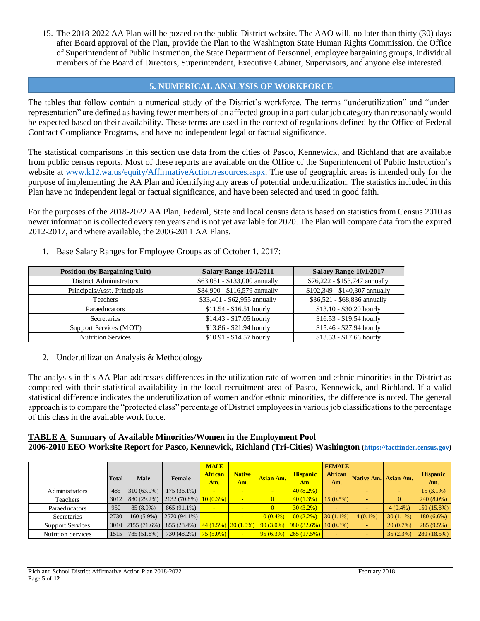15. The 2018-2022 AA Plan will be posted on the public District website. The AAO will, no later than thirty (30) days after Board approval of the Plan, provide the Plan to the Washington State Human Rights Commission, the Office of Superintendent of Public Instruction, the State Department of Personnel, employee bargaining groups, individual members of the Board of Directors, Superintendent, Executive Cabinet, Supervisors, and anyone else interested.

## **5. NUMERICAL ANALYSIS OF WORKFORCE**

The tables that follow contain a numerical study of the District's workforce. The terms "underutilization" and "underrepresentation" are defined as having fewer members of an affected group in a particular job category than reasonably would be expected based on their availability. These terms are used in the context of regulations defined by the Office of Federal Contract Compliance Programs, and have no independent legal or factual significance.

The statistical comparisons in this section use data from the cities of Pasco, Kennewick, and Richland that are available from public census reports. Most of these reports are available on the Office of the Superintendent of Public Instruction's website at [www.k12.wa.us/equity/AffirmativeAction/resources.aspx.](http://www.k12.wa.us/equity/AffirmativeAction/resources.aspx) The use of geographic areas is intended only for the purpose of implementing the AA Plan and identifying any areas of potential underutilization. The statistics included in this Plan have no independent legal or factual significance, and have been selected and used in good faith.

For the purposes of the 2018-2022 AA Plan, Federal, State and local census data is based on statistics from Census 2010 as newer information is collected every ten years and is not yet available for 2020. The Plan will compare data from the expired 2012-2017, and where available, the 2006-2011 AA Plans.

- Position (by Bargaining Unit) **Salary Range 10/1/2011 Salary Range 10/1/2017** District Administrators **\$63,051** - \$133,000 annually \$76,222 - \$153,747 annually Principals/Asst. Principals \$84,900 - \$116,579 annually \$102,349 - \$140,307 annually Teachers **\$33,401** - \$53,401 - \$62,955 annually \$36,521 - \$68,836 annually Paraeducators **\$11.54** - \$16.51 hourly \$13.10 - \$30.20 hourly Secretaries \$14.43 - \$17.05 hourly \$16.53 - \$19.54 hourly Support Services (MOT)  $$13.86 - $21.94$  hourly  $$15.46 - $27.94$  hourly Nutrition Services  $$10.91 - $14.57$  hourly  $$13.53 - $17.66$  hourly
- 1. Base Salary Ranges for Employee Groups as of October 1, 2017:

2. Underutilization Analysis & Methodology

The analysis in this AA Plan addresses differences in the utilization rate of women and ethnic minorities in the District as compared with their statistical availability in the local recruitment area of Pasco, Kennewick, and Richland. If a valid statistical difference indicates the underutilization of women and/or ethnic minorities, the difference is noted. The general approach is to compare the "protected class" percentage of District employees in various job classifications to the percentage of this class in the available work force.

#### **TABLE A**: **Summary of Available Minorities/Women in the Employment Pool 2006-2010 EEO Worksite Report for Pasco, Kennewick, Richland (Tri-Cities) Washington [\(https://factfinder.census.gov\)](https://factfinder.census.gov/)**

|                           |              |                   |                                                                                         | <b>MALE</b>    |               |             |                           | <b>FEMALE</b>            |                          |             |                 |
|---------------------------|--------------|-------------------|-----------------------------------------------------------------------------------------|----------------|---------------|-------------|---------------------------|--------------------------|--------------------------|-------------|-----------------|
|                           | <b>Total</b> | Male              | Female                                                                                  | <b>African</b> | <b>Native</b> | Asian Am.   | <b>Hispanic</b>           | African                  | Native Am. Asian Am.     |             | <b>Hispanic</b> |
|                           |              |                   |                                                                                         | Am.            | Am.           |             | Am.                       | Am.                      |                          |             | Am.             |
| Administrators            | 485          | 310 (63.9%)       | $175(36.1\%)$                                                                           |                |               |             | $40(8.2\%)$               |                          |                          |             | $15(3.1\%)$     |
| Teachers                  | 3012         | 880 (29.2%)       | $2132(70.8\%)$                                                                          | $10(0.3\%)$    |               |             | 40(1.3%)                  | $15(0.5\%)$              |                          | 0           | $240(8.0\%)$    |
| Paraeducators             | 950          | 85 (8.9%)         | 865 (91.1%)                                                                             |                |               |             | $30(3.2\%)$               |                          |                          | $4(0.4\%)$  | $150(15.8\%)$   |
| Secretaries               | 2730         | $160(5.9\%)$      | $2570(94.1\%)$                                                                          |                |               | $10(0.4\%)$ | 60(2.2%)                  | $30(1.1\%)$              | $4(0.1\%)$               | $30(1.1\%)$ | $180(6.6\%)$    |
| <b>Support Services</b>   |              | 3010 2155 (71.6%) | 855 (28.4%) $\left  \frac{44}{1.5\%} \right $ 30 (1.0%) 90 (3.0%) 980 (32.6%) 10 (0.3%) |                |               |             |                           |                          | $\overline{\phantom{0}}$ | 20(0.7%)    | $285(9.5\%)$    |
| <b>Nutrition Services</b> | 1515         | 785 (51.8%)       | 730 (48.2%)                                                                             | $75(5.0\%)$    | $\sim$        |             | $95(6.3\%)$ $265(17.5\%)$ | $\overline{\phantom{0}}$ | $\overline{\phantom{0}}$ | 35(2.3%)    | 280(18.5%)      |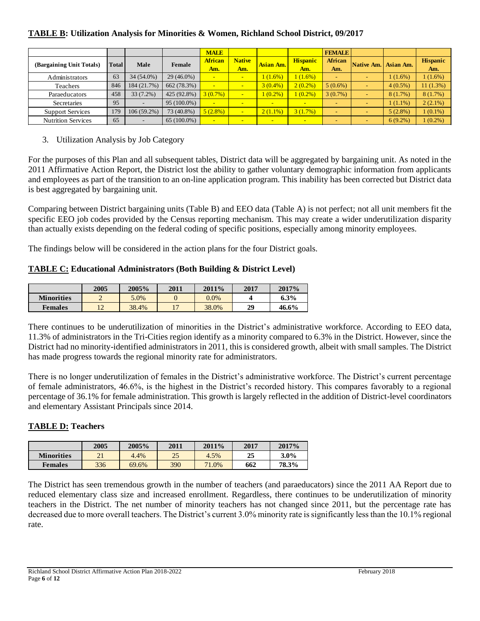# **TABLE B: Utilization Analysis for Minorities & Women, Richland School District, 09/2017**

|                           |       |                          |               | <b>MALE</b>           |                      |                          |                          | <b>FEMALE</b>            |                          |                                    |                        |
|---------------------------|-------|--------------------------|---------------|-----------------------|----------------------|--------------------------|--------------------------|--------------------------|--------------------------|------------------------------------|------------------------|
| (Bargaining Unit Totals)  | Total | Male                     | Female        | <b>African</b><br>Am. | <b>Native</b><br>Am. | Asian Am.                | <b>Hispanic</b><br>Am.   | African<br>Am.           | Native Am.               | $\overline{\phantom{a}}$ Asian Am. | <b>Hispanic</b><br>Am. |
| Administrators            | 63    | 34 (54.0%)               | $29(46.0\%)$  | <b>1999</b>           |                      | 1(1.6%)                  | 1(1.6%)                  | $\overline{\phantom{0}}$ |                          | $1(1.6\%)$                         | 1(1.6%)                |
| Teachers                  | 846   | 184 (21.7%)              | 662 (78.3%)   | <b>1999</b>           | $\blacksquare$       | $3(0.4\%)$               | $2(0.2\%)$               | $5(0.6\%)$               |                          | $4(0.5\%)$                         | 11(1.3%)               |
| Paraeducators             | 458   | 33 (7.2%)                | 425(92.8%)    | $3(0.7\%)$            | $\sim$               | $1(0.2\%)$               | $1(0.2\%)$               | $3(0.7\%)$               |                          | 8(1.7%)                            | 8(1.7%)                |
| Secretaries               | 95    | -                        | $95(100.0\%)$ | $\blacksquare$        | $\blacksquare$       | $\overline{\phantom{0}}$ |                          |                          |                          | $1(1.1\%)$                         | $2(2.1\%)$             |
| <b>Support Services</b>   | 179   | $106(59.2\%)$            | 73 (40.8%)    | $5(2.8\%)$            | $-1$                 | $2(1.1\%)$               | 3(1.7%)                  | $\overline{\phantom{0}}$ |                          | $5(2.8\%)$                         | $1(0.1\%)$             |
| <b>Nutrition Services</b> | 65    | $\overline{\phantom{a}}$ | $65(100.0\%)$ | $\sim$                | $\sim$               | $\sim$                   | $\overline{\phantom{a}}$ | $\overline{\phantom{0}}$ | $\overline{\phantom{0}}$ | $6(9.2\%)$                         | $1(0.2\%)$             |

## 3. Utilization Analysis by Job Category

For the purposes of this Plan and all subsequent tables, District data will be aggregated by bargaining unit. As noted in the 2011 Affirmative Action Report, the District lost the ability to gather voluntary demographic information from applicants and employees as part of the transition to an on-line application program. This inability has been corrected but District data is best aggregated by bargaining unit.

Comparing between District bargaining units (Table B) and EEO data (Table A) is not perfect; not all unit members fit the specific EEO job codes provided by the Census reporting mechanism. This may create a wider underutilization disparity than actually exists depending on the federal coding of specific positions, especially among minority employees.

The findings below will be considered in the action plans for the four District goals.

## **TABLE C: Educational Administrators (Both Building & District Level)**

|                   | 2005 | 2005% | 2011 | 2011%   | 2017 | 2017%   |
|-------------------|------|-------|------|---------|------|---------|
| <b>Minorities</b> |      | 5.0%  |      | $0.0\%$ |      | $6.3\%$ |
| <b>Females</b>    | $ -$ | 38.4% |      | 38.0%   | 29   | 46.6%   |

There continues to be underutilization of minorities in the District's administrative workforce. According to EEO data, 11.3% of administrators in the Tri-Cities region identify as a minority compared to 6.3% in the District. However, since the District had no minority-identified administrators in 2011, this is considered growth, albeit with small samples. The District has made progress towards the regional minority rate for administrators.

There is no longer underutilization of females in the District's administrative workforce. The District's current percentage of female administrators, 46.6%, is the highest in the District's recorded history. This compares favorably to a regional percentage of 36.1% for female administration. This growth is largely reflected in the addition of District-level coordinators and elementary Assistant Principals since 2014.

## **TABLE D: Teachers**

|                   | 2005      | 2005% | 2011 | 2011% | 2017 | 2017%   |
|-------------------|-----------|-------|------|-------|------|---------|
| <b>Minorities</b> | <u> 1</u> | 4.4%  | 25   | 4.5%  | 25   | $3.0\%$ |
| <b>Females</b>    | 336       | 69.6% | 390  | 71.0% | 662  | 78.3%   |

The District has seen tremendous growth in the number of teachers (and paraeducators) since the 2011 AA Report due to reduced elementary class size and increased enrollment. Regardless, there continues to be underutilization of minority teachers in the District. The net number of minority teachers has not changed since 2011, but the percentage rate has decreased due to more overall teachers. The District's current 3.0% minority rate is significantly less than the 10.1% regional rate.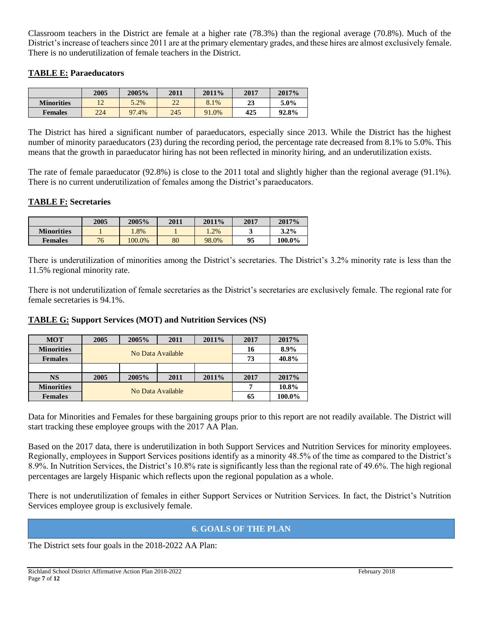Classroom teachers in the District are female at a higher rate (78.3%) than the regional average (70.8%). Much of the District's increase of teachers since 2011 are at the primary elementary grades, and these hires are almost exclusively female. There is no underutilization of female teachers in the District.

## **TABLE E: Paraeducators**

|                   | 2005 | 2005% | 2011     | $2011\%$ | 2017 | 2017%   |
|-------------------|------|-------|----------|----------|------|---------|
| <b>Minorities</b> |      | 5.2%  | າາ<br>∠∠ | 8.1%     | 23   | $5.0\%$ |
| <b>Females</b>    | 224  | 97.4% | 245      | 91.0%    | 425  | 92.8%   |

The District has hired a significant number of paraeducators, especially since 2013. While the District has the highest number of minority paraeducators (23) during the recording period, the percentage rate decreased from 8.1% to 5.0%. This means that the growth in paraeducator hiring has not been reflected in minority hiring, and an underutilization exists.

The rate of female paraeducator (92.8%) is close to the 2011 total and slightly higher than the regional average (91.1%). There is no current underutilization of females among the District's paraeducators.

## **TABLE F: Secretaries**

|                   | 2005 | 2005%  | 2011 | 2011%   | 2017 | 2017%   |
|-------------------|------|--------|------|---------|------|---------|
| <b>Minorities</b> |      | $.8\%$ |      | $4.2\%$ |      | $3.2\%$ |
| <b>Females</b>    | 76   | 100.0% | 80   | 98.0%   | 95   | 100.0%  |

There is underutilization of minorities among the District's secretaries. The District's 3.2% minority rate is less than the 11.5% regional minority rate.

There is not underutilization of female secretaries as the District's secretaries are exclusively female. The regional rate for female secretaries is 94.1%.

## **TABLE G: Support Services (MOT) and Nutrition Services (NS)**

| <b>MOT</b>        | 2005 | 2005%             | 2011              | 2011\% | 2017   | 2017\% |
|-------------------|------|-------------------|-------------------|--------|--------|--------|
| <b>Minorities</b> |      |                   | No Data Available |        | 16     | 8.9%   |
| <b>Females</b>    |      |                   |                   | 73     | 40.8%  |        |
|                   |      |                   |                   |        |        |        |
| <b>NS</b>         | 2005 | 2005%             | 2011              | 2011%  | 2017   | 2017%  |
| <b>Minorities</b> |      | No Data Available |                   | 10.8%  |        |        |
| <b>Females</b>    |      |                   |                   | 65     | 100.0% |        |

Data for Minorities and Females for these bargaining groups prior to this report are not readily available. The District will start tracking these employee groups with the 2017 AA Plan.

Based on the 2017 data, there is underutilization in both Support Services and Nutrition Services for minority employees. Regionally, employees in Support Services positions identify as a minority 48.5% of the time as compared to the District's 8.9%. In Nutrition Services, the District's 10.8% rate is significantly less than the regional rate of 49.6%. The high regional percentages are largely Hispanic which reflects upon the regional population as a whole.

There is not underutilization of females in either Support Services or Nutrition Services. In fact, the District's Nutrition Services employee group is exclusively female.

## **6. GOALS OF THE PLAN**

The District sets four goals in the 2018-2022 AA Plan: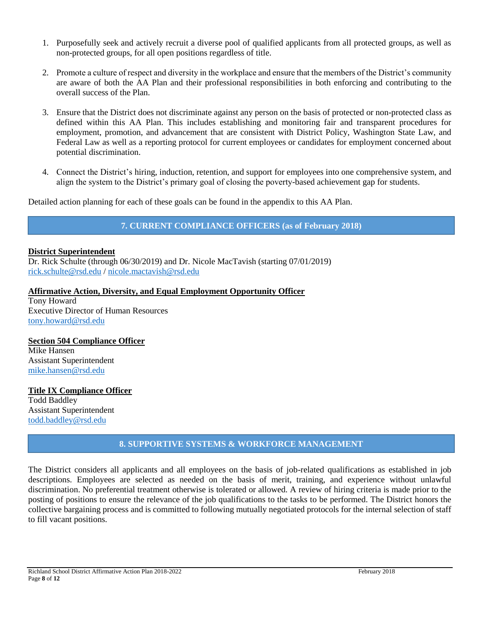- 1. Purposefully seek and actively recruit a diverse pool of qualified applicants from all protected groups, as well as non-protected groups, for all open positions regardless of title.
- 2. Promote a culture of respect and diversity in the workplace and ensure that the members of the District's community are aware of both the AA Plan and their professional responsibilities in both enforcing and contributing to the overall success of the Plan.
- 3. Ensure that the District does not discriminate against any person on the basis of protected or non-protected class as defined within this AA Plan. This includes establishing and monitoring fair and transparent procedures for employment, promotion, and advancement that are consistent with District Policy, Washington State Law, and Federal Law as well as a reporting protocol for current employees or candidates for employment concerned about potential discrimination.
- 4. Connect the District's hiring, induction, retention, and support for employees into one comprehensive system, and align the system to the District's primary goal of closing the poverty-based achievement gap for students.

Detailed action planning for each of these goals can be found in the appendix to this AA Plan.

**7. CURRENT COMPLIANCE OFFICERS (as of February 2018)**

## **District Superintendent**

Dr. Rick Schulte (through 06/30/2019) and Dr. Nicole MacTavish (starting 07/01/2019) [rick.schulte@rsd.edu](mailto:rick.schulte@rsd.edu) / [nicole.mactavish@rsd.edu](mailto:nicole.mactavish@rsd.edu)

## **Affirmative Action, Diversity, and Equal Employment Opportunity Officer**

Tony Howard Executive Director of Human Resources [tony.howard@rsd.edu](mailto:tony.howard@rsd.edu)

#### **Section 504 Compliance Officer**

Mike Hansen Assistant Superintendent [mike.hansen@rsd.edu](mailto:mike.hansen@rsd.edu)

# **Title IX Compliance Officer** Todd Baddley

Assistant Superintendent [todd.baddley@rsd.edu](mailto:todd.baddley@rsd.edu)

## **8. SUPPORTIVE SYSTEMS & WORKFORCE MANAGEMENT**

The District considers all applicants and all employees on the basis of job-related qualifications as established in job descriptions. Employees are selected as needed on the basis of merit, training, and experience without unlawful discrimination. No preferential treatment otherwise is tolerated or allowed. A review of hiring criteria is made prior to the posting of positions to ensure the relevance of the job qualifications to the tasks to be performed. The District honors the collective bargaining process and is committed to following mutually negotiated protocols for the internal selection of staff to fill vacant positions.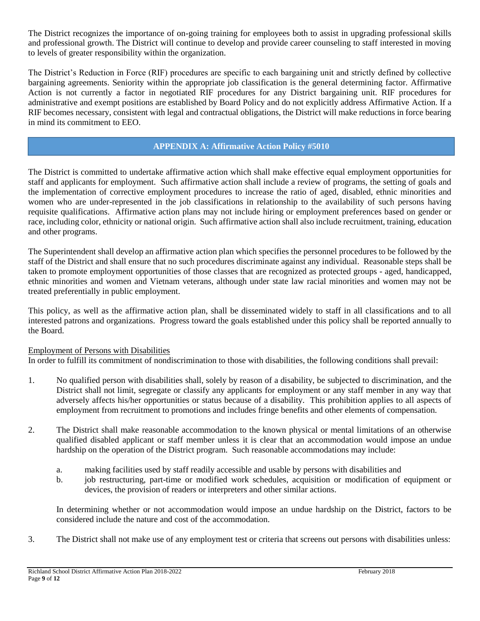The District recognizes the importance of on-going training for employees both to assist in upgrading professional skills and professional growth. The District will continue to develop and provide career counseling to staff interested in moving to levels of greater responsibility within the organization.

The District's Reduction in Force (RIF) procedures are specific to each bargaining unit and strictly defined by collective bargaining agreements. Seniority within the appropriate job classification is the general determining factor. Affirmative Action is not currently a factor in negotiated RIF procedures for any District bargaining unit. RIF procedures for administrative and exempt positions are established by Board Policy and do not explicitly address Affirmative Action. If a RIF becomes necessary, consistent with legal and contractual obligations, the District will make reductions in force bearing in mind its commitment to EEO.

## **APPENDIX A: Affirmative Action Policy #5010**

The District is committed to undertake affirmative action which shall make effective equal employment opportunities for staff and applicants for employment. Such affirmative action shall include a review of programs, the setting of goals and the implementation of corrective employment procedures to increase the ratio of aged, disabled, ethnic minorities and women who are under-represented in the job classifications in relationship to the availability of such persons having requisite qualifications. Affirmative action plans may not include hiring or employment preferences based on gender or race, including color, ethnicity or national origin. Such affirmative action shall also include recruitment, training, education and other programs.

The Superintendent shall develop an affirmative action plan which specifies the personnel procedures to be followed by the staff of the District and shall ensure that no such procedures discriminate against any individual. Reasonable steps shall be taken to promote employment opportunities of those classes that are recognized as protected groups - aged, handicapped, ethnic minorities and women and Vietnam veterans, although under state law racial minorities and women may not be treated preferentially in public employment.

This policy, as well as the affirmative action plan, shall be disseminated widely to staff in all classifications and to all interested patrons and organizations. Progress toward the goals established under this policy shall be reported annually to the Board.

## Employment of Persons with Disabilities

In order to fulfill its commitment of nondiscrimination to those with disabilities, the following conditions shall prevail:

- 1. No qualified person with disabilities shall, solely by reason of a disability, be subjected to discrimination, and the District shall not limit, segregate or classify any applicants for employment or any staff member in any way that adversely affects his/her opportunities or status because of a disability. This prohibition applies to all aspects of employment from recruitment to promotions and includes fringe benefits and other elements of compensation.
- 2. The District shall make reasonable accommodation to the known physical or mental limitations of an otherwise qualified disabled applicant or staff member unless it is clear that an accommodation would impose an undue hardship on the operation of the District program. Such reasonable accommodations may include:
	- a. making facilities used by staff readily accessible and usable by persons with disabilities and
	- b. job restructuring, part-time or modified work schedules, acquisition or modification of equipment or devices, the provision of readers or interpreters and other similar actions.

In determining whether or not accommodation would impose an undue hardship on the District, factors to be considered include the nature and cost of the accommodation.

3. The District shall not make use of any employment test or criteria that screens out persons with disabilities unless: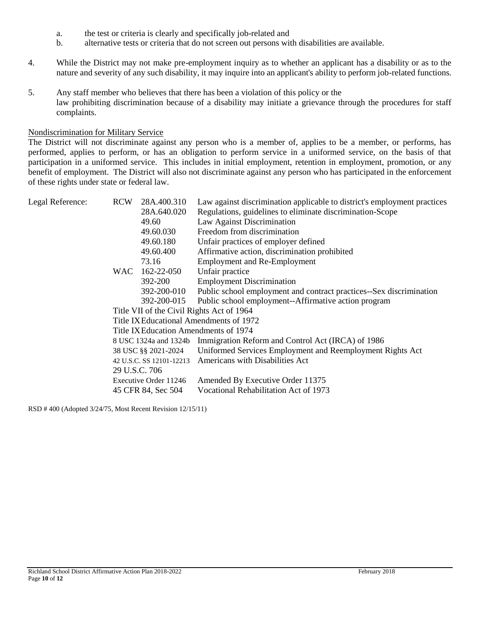- a. the test or criteria is clearly and specifically job-related and
- b. alternative tests or criteria that do not screen out persons with disabilities are available.
- 4. While the District may not make pre-employment inquiry as to whether an applicant has a disability or as to the nature and severity of any such disability, it may inquire into an applicant's ability to perform job-related functions.
- 5. Any staff member who believes that there has been a violation of this policy or the law prohibiting discrimination because of a disability may initiate a grievance through the procedures for staff complaints.

#### Nondiscrimination for Military Service

The District will not discriminate against any person who is a member of, applies to be a member, or performs, has performed, applies to perform, or has an obligation to perform service in a uniformed service, on the basis of that participation in a uniformed service. This includes in initial employment, retention in employment, promotion, or any benefit of employment. The District will also not discriminate against any person who has participated in the enforcement of these rights under state or federal law.

| Legal Reference: | <b>RCW</b> | 28A.400.310              | Law against discrimination applicable to district's employment practices |
|------------------|------------|--------------------------|--------------------------------------------------------------------------|
|                  |            | 28A.640.020              | Regulations, guidelines to eliminate discrimination-Scope                |
|                  |            | 49.60                    | Law Against Discrimination                                               |
|                  |            | 49.60.030                | Freedom from discrimination                                              |
|                  |            | 49.60.180                | Unfair practices of employer defined                                     |
|                  |            | 49.60.400                | Affirmative action, discrimination prohibited                            |
|                  |            | 73.16                    | <b>Employment and Re-Employment</b>                                      |
|                  | <b>WAC</b> | 162-22-050               | Unfair practice                                                          |
|                  |            | 392-200                  | <b>Employment Discrimination</b>                                         |
|                  |            | 392-200-010              | Public school employment and contract practices--Sex discrimination      |
|                  |            | 392-200-015              | Public school employment--Affirmative action program                     |
|                  |            |                          | Title VII of the Civil Rights Act of 1964                                |
|                  |            |                          | Title IX Educational Amendments of 1972                                  |
|                  |            |                          | Title IX Education Amendments of 1974                                    |
|                  |            |                          | 8 USC 1324a and 1324b Immigration Reform and Control Act (IRCA) of 1986  |
|                  |            | 38 USC §§ 2021-2024      | Uniformed Services Employment and Reemployment Rights Act                |
|                  |            | 42 U.S.C. SS 12101-12213 | Americans with Disabilities Act                                          |
|                  |            | 29 U.S.C. 706            |                                                                          |
|                  |            | Executive Order 11246    | Amended By Executive Order 11375                                         |
|                  |            | 45 CFR 84, Sec 504       | Vocational Rehabilitation Act of 1973                                    |

RSD # 400 (Adopted 3/24/75, Most Recent Revision 12/15/11)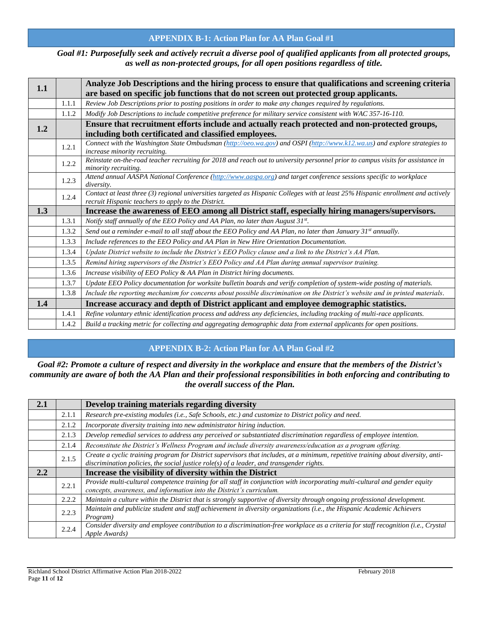## **APPENDIX B-1: Action Plan for AA Plan Goal #1**

*Goal #1: Purposefully seek and actively recruit a diverse pool of qualified applicants from all protected groups, as well as non-protected groups, for all open positions regardless of title.*

| 1.1 |       | Analyze Job Descriptions and the hiring process to ensure that qualifications and screening criteria                                                     |
|-----|-------|----------------------------------------------------------------------------------------------------------------------------------------------------------|
|     |       | are based on specific job functions that do not screen out protected group applicants.                                                                   |
|     | 1.1.1 | Review Job Descriptions prior to posting positions in order to make any changes required by regulations.                                                 |
|     | 1.1.2 | Modify Job Descriptions to include competitive preference for military service consistent with WAC 357-16-110.                                           |
|     |       | Ensure that recruitment efforts include and actually reach protected and non-protected groups,                                                           |
| 1.2 |       | including both certificated and classified employees.                                                                                                    |
|     | 1.2.1 | Connect with the Washington State Ombudsman (http://oeo.wa.gov) and OSPI (http://www.k12.wa.us) and explore strategies to                                |
|     |       | increase minority recruiting.                                                                                                                            |
|     | 1.2.2 | Reinstate on-the-road teacher recruiting for 2018 and reach out to university personnel prior to campus visits for assistance in<br>minority recruiting. |
|     |       | Attend annual AASPA National Conference (http://www.aaspa.org) and target conference sessions specific to workplace                                      |
|     | 1.2.3 | <i>diversity.</i>                                                                                                                                        |
|     | 1.2.4 | Contact at least three (3) regional universities targeted as Hispanic Colleges with at least 25% Hispanic enrollment and actively                        |
|     |       | recruit Hispanic teachers to apply to the District.                                                                                                      |
| 1.3 |       | Increase the awareness of EEO among all District staff, especially hiring managers/supervisors.                                                          |
|     |       |                                                                                                                                                          |
|     | 1.3.1 | Notify staff annually of the EEO Policy and AA Plan, no later than August 31st.                                                                          |
|     | 1.3.2 | Send out a reminder e-mail to all staff about the EEO Policy and AA Plan, no later than January 31st annually.                                           |
|     | 1.3.3 | Include references to the EEO Policy and AA Plan in New Hire Orientation Documentation.                                                                  |
|     | 1.3.4 | Update District website to include the District's EEO Policy clause and a link to the District's AA Plan.                                                |
|     | 1.3.5 | Remind hiring supervisors of the District's EEO Policy and AA Plan during annual supervisor training.                                                    |
|     | 1.3.6 | Increase visibility of EEO Policy & AA Plan in District hiring documents.                                                                                |
|     | 1.3.7 | Update EEO Policy documentation for worksite bulletin boards and verify completion of system-wide posting of materials.                                  |
|     | 1.3.8 | Include the reporting mechanism for concerns about possible discrimination on the District's website and in printed materials.                           |
| 1.4 |       | Increase accuracy and depth of District applicant and employee demographic statistics.                                                                   |
|     | 1.4.1 | Refine voluntary ethnic identification process and address any deficiencies, including tracking of multi-race applicants.                                |

#### **APPENDIX B-2: Action Plan for AA Plan Goal #2**

*Goal #2: Promote a culture of respect and diversity in the workplace and ensure that the members of the District's community are aware of both the AA Plan and their professional responsibilities in both enforcing and contributing to the overall success of the Plan.*

| 2.1 |       | Develop training materials regarding diversity                                                                                                                                                                                  |
|-----|-------|---------------------------------------------------------------------------------------------------------------------------------------------------------------------------------------------------------------------------------|
|     | 2.1.1 | Research pre-existing modules (i.e., Safe Schools, etc.) and customize to District policy and need.                                                                                                                             |
|     | 2.1.2 | Incorporate diversity training into new administrator hiring induction.                                                                                                                                                         |
|     | 2.1.3 | Develop remedial services to address any perceived or substantiated discrimination regardless of employee intention.                                                                                                            |
|     | 2.1.4 | Reconstitute the District's Wellness Program and include diversity awareness/education as a program offering.                                                                                                                   |
|     | 2.1.5 | Create a cyclic training program for District supervisors that includes, at a minimum, repetitive training about diversity, anti-<br>discrimination policies, the social justice $role(s)$ of a leader, and transgender rights. |
| 2.2 |       | Increase the visibility of diversity within the District                                                                                                                                                                        |
|     | 2.2.1 | Provide multi-cultural competence training for all staff in conjunction with incorporating multi-cultural and gender equity<br>concepts, awareness, and information into the District's curriculum.                             |
|     | 2.2.2 | Maintain a culture within the District that is strongly supportive of diversity through ongoing professional development.                                                                                                       |
|     | 2.2.3 | Maintain and publicize student and staff achievement in diversity organizations (i.e., the Hispanic Academic Achievers<br>Program)                                                                                              |
|     | 2.2.4 | Consider diversity and employee contribution to a discrimination-free workplace as a criteria for staff recognition (i.e., Crystal<br>Apple Awards)                                                                             |